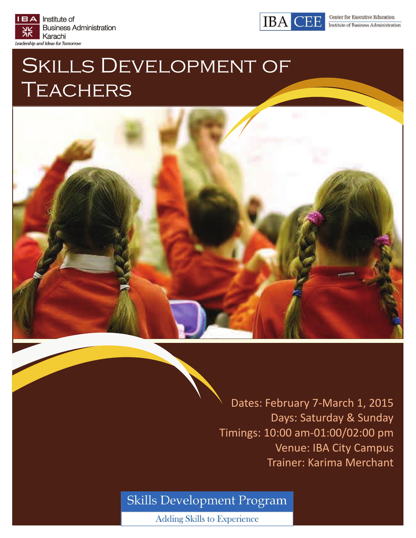



# SKILLS DEVELOPMENT OF **TEACHERS**



Dates: February 7‐March 1, 2015 Days: Saturday & Sunday Timings: 10:00 am‐01:00/02:00 pm Venue: IBA City Campus Trainer: Karima Merchant

# Skills Development Program

**Adding Skills to Experience**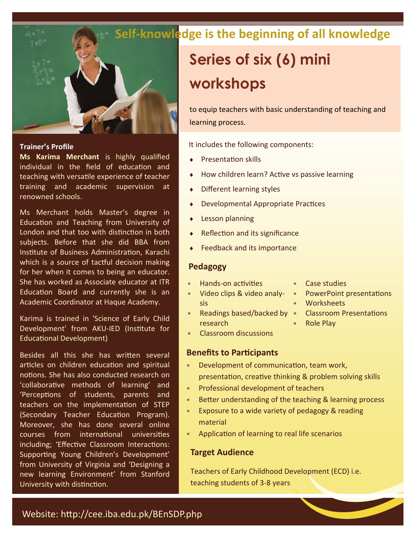

#### **Trainer's Profile**

**Ms Karima Merchant** is highly qualified individual in the field of education and teaching with versatile experience of teacher training and academic supervision at renowned schools.

Ms Merchant holds Master's degree in Education and Teaching from University of London and that too with distinction in both subjects. Before that she did BBA from Institute of Business Administration, Karachi which is a source of tactful decision making for her when it comes to being an educator. She has worked as Associate educator at ITR Education Board and currently she is an Academic Coordinator at Haque Academy.

Karima is trained in 'Science of Early Child Development' from AKU-IED (Institute for Educational Development)

Besides all this she has written several articles on children education and spiritual notions. She has also conducted research on 'collaborative methods of learning' and 'Perceptions of students, parents and teachers on the implementation of STEP (Secondary Teacher Education Program). Moreover, she has done several online courses from international universities including; 'Effective Classroom Interactions: Supporting Young Children's Development' from University of Virginia and 'Designing a new learning Environment' from Stanford University with distinction.

# **Self‐knowledge is the beginning of all knowledge**

# **Series of six (6) mini workshops**

to equip teachers with basic understanding of teaching and learning process.

It includes the following components:

- PresentaƟon skills
- How children learn? Active vs passive learning
- Different learning styles
- Developmental Appropriate Practices
- Lesson planning
- Reflection and its significance
- Feedback and its importance

#### **Pedagogy**

- Hands-on activities
- Video clips & video analy‐ sis
- \* Readings based/backed by \* Classroom Presentations research
- **Worksheets** 
	-

\* PowerPoint presentations

Role Play

Case studies

Classroom discussions

#### **Benefits to Participants**

- \* Development of communication, team work, presentation, creative thinking & problem solving skills
- Professional development of teachers
- \* Better understanding of the teaching & learning process
- Exposure to a wide variety of pedagogy & reading material
- Application of learning to real life scenarios

#### **Target Audience**

Teachers of Early Childhood Development (ECD) i.e. teaching students of 3‐8 years